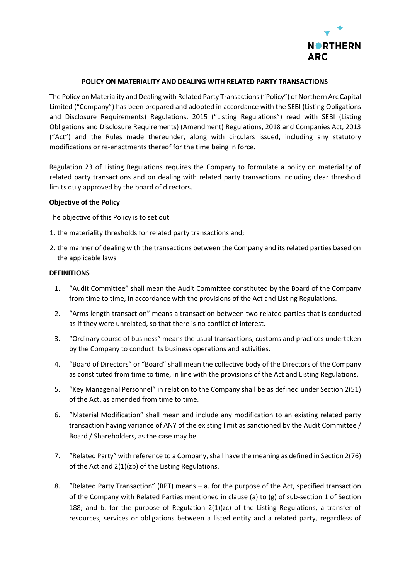

## **POLICY ON MATERIALITY AND DEALING WITH RELATED PARTY TRANSACTIONS**

The Policy on Materiality and Dealing with Related Party Transactions ("Policy") of Northern Arc Capital Limited ("Company") has been prepared and adopted in accordance with the SEBI (Listing Obligations and Disclosure Requirements) Regulations, 2015 ("Listing Regulations") read with SEBI (Listing Obligations and Disclosure Requirements) (Amendment) Regulations, 2018 and Companies Act, 2013 ("Act") and the Rules made thereunder, along with circulars issued, including any statutory modifications or re-enactments thereof for the time being in force.

Regulation 23 of Listing Regulations requires the Company to formulate a policy on materiality of related party transactions and on dealing with related party transactions including clear threshold limits duly approved by the board of directors.

#### **Objective of the Policy**

The objective of this Policy is to set out

- 1. the materiality thresholds for related party transactions and;
- 2. the manner of dealing with the transactions between the Company and its related parties based on the applicable laws

#### **DEFINITIONS**

- 1. "Audit Committee" shall mean the Audit Committee constituted by the Board of the Company from time to time, in accordance with the provisions of the Act and Listing Regulations.
- 2. "Arms length transaction" means a transaction between two related parties that is conducted as if they were unrelated, so that there is no conflict of interest.
- 3. "Ordinary course of business" means the usual transactions, customs and practices undertaken by the Company to conduct its business operations and activities.
- 4. "Board of Directors" or "Board" shall mean the collective body of the Directors of the Company as constituted from time to time, in line with the provisions of the Act and Listing Regulations.
- 5. "Key Managerial Personnel" in relation to the Company shall be as defined under Section 2(51) of the Act, as amended from time to time.
- 6. "Material Modification" shall mean and include any modification to an existing related party transaction having variance of ANY of the existing limit as sanctioned by the Audit Committee / Board / Shareholders, as the case may be.
- 7. "Related Party" with reference to a Company, shall have the meaning as defined in Section 2(76) of the Act and 2(1)(zb) of the Listing Regulations.
- 8. "Related Party Transaction" (RPT) means a. for the purpose of the Act, specified transaction of the Company with Related Parties mentioned in clause (a) to (g) of sub-section 1 of Section 188; and b. for the purpose of Regulation  $2(1)(zc)$  of the Listing Regulations, a transfer of resources, services or obligations between a listed entity and a related party, regardless of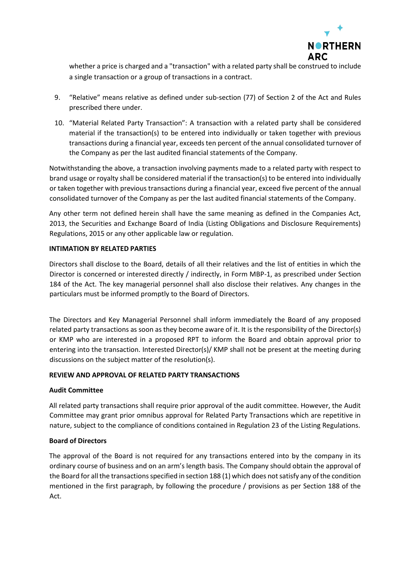

whether a price is charged and a "transaction" with a related party shall be construed to include a single transaction or a group of transactions in a contract.

- 9. "Relative" means relative as defined under sub-section (77) of Section 2 of the Act and Rules prescribed there under.
- 10. "Material Related Party Transaction": A transaction with a related party shall be considered material if the transaction(s) to be entered into individually or taken together with previous transactions during a financial year, exceeds ten percent of the annual consolidated turnover of the Company as per the last audited financial statements of the Company.

Notwithstanding the above, a transaction involving payments made to a related party with respect to brand usage or royalty shall be considered material if the transaction(s) to be entered into individually or taken together with previous transactions during a financial year, exceed five percent of the annual consolidated turnover of the Company as per the last audited financial statements of the Company.

Any other term not defined herein shall have the same meaning as defined in the Companies Act, 2013, the Securities and Exchange Board of India (Listing Obligations and Disclosure Requirements) Regulations, 2015 or any other applicable law or regulation.

## **INTIMATION BY RELATED PARTIES**

Directors shall disclose to the Board, details of all their relatives and the list of entities in which the Director is concerned or interested directly / indirectly, in Form MBP-1, as prescribed under Section 184 of the Act. The key managerial personnel shall also disclose their relatives. Any changes in the particulars must be informed promptly to the Board of Directors.

The Directors and Key Managerial Personnel shall inform immediately the Board of any proposed related party transactions as soon as they become aware of it. It is the responsibility of the Director(s) or KMP who are interested in a proposed RPT to inform the Board and obtain approval prior to entering into the transaction. Interested Director(s)/ KMP shall not be present at the meeting during discussions on the subject matter of the resolution(s).

#### **REVIEW AND APPROVAL OF RELATED PARTY TRANSACTIONS**

#### **Audit Committee**

All related party transactions shall require prior approval of the audit committee. However, the Audit Committee may grant prior omnibus approval for Related Party Transactions which are repetitive in nature, subject to the compliance of conditions contained in Regulation 23 of the Listing Regulations.

#### **Board of Directors**

The approval of the Board is not required for any transactions entered into by the company in its ordinary course of business and on an arm's length basis. The Company should obtain the approval of the Board for all the transactions specified in section 188 (1) which does not satisfy any of the condition mentioned in the first paragraph, by following the procedure / provisions as per Section 188 of the Act.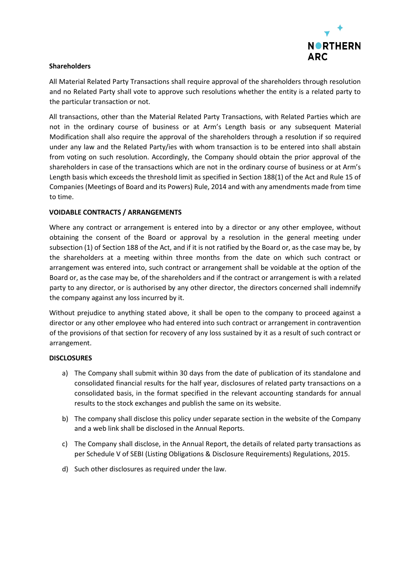

# **Shareholders**

All Material Related Party Transactions shall require approval of the shareholders through resolution and no Related Party shall vote to approve such resolutions whether the entity is a related party to the particular transaction or not.

All transactions, other than the Material Related Party Transactions, with Related Parties which are not in the ordinary course of business or at Arm's Length basis or any subsequent Material Modification shall also require the approval of the shareholders through a resolution if so required under any law and the Related Party/ies with whom transaction is to be entered into shall abstain from voting on such resolution. Accordingly, the Company should obtain the prior approval of the shareholders in case of the transactions which are not in the ordinary course of business or at Arm's Length basis which exceeds the threshold limit as specified in Section 188(1) of the Act and Rule 15 of Companies (Meetings of Board and its Powers) Rule, 2014 and with any amendments made from time to time.

## **VOIDABLE CONTRACTS / ARRANGEMENTS**

Where any contract or arrangement is entered into by a director or any other employee, without obtaining the consent of the Board or approval by a resolution in the general meeting under subsection (1) of Section 188 of the Act, and if it is not ratified by the Board or, as the case may be, by the shareholders at a meeting within three months from the date on which such contract or arrangement was entered into, such contract or arrangement shall be voidable at the option of the Board or, as the case may be, of the shareholders and if the contract or arrangement is with a related party to any director, or is authorised by any other director, the directors concerned shall indemnify the company against any loss incurred by it.

Without prejudice to anything stated above, it shall be open to the company to proceed against a director or any other employee who had entered into such contract or arrangement in contravention of the provisions of that section for recovery of any loss sustained by it as a result of such contract or arrangement.

#### **DISCLOSURES**

- a) The Company shall submit within 30 days from the date of publication of its standalone and consolidated financial results for the half year, disclosures of related party transactions on a consolidated basis, in the format specified in the relevant accounting standards for annual results to the stock exchanges and publish the same on its website.
- b) The company shall disclose this policy under separate section in the website of the Company and a web link shall be disclosed in the Annual Reports.
- c) The Company shall disclose, in the Annual Report, the details of related party transactions as per Schedule V of SEBI (Listing Obligations & Disclosure Requirements) Regulations, 2015.
- d) Such other disclosures as required under the law.